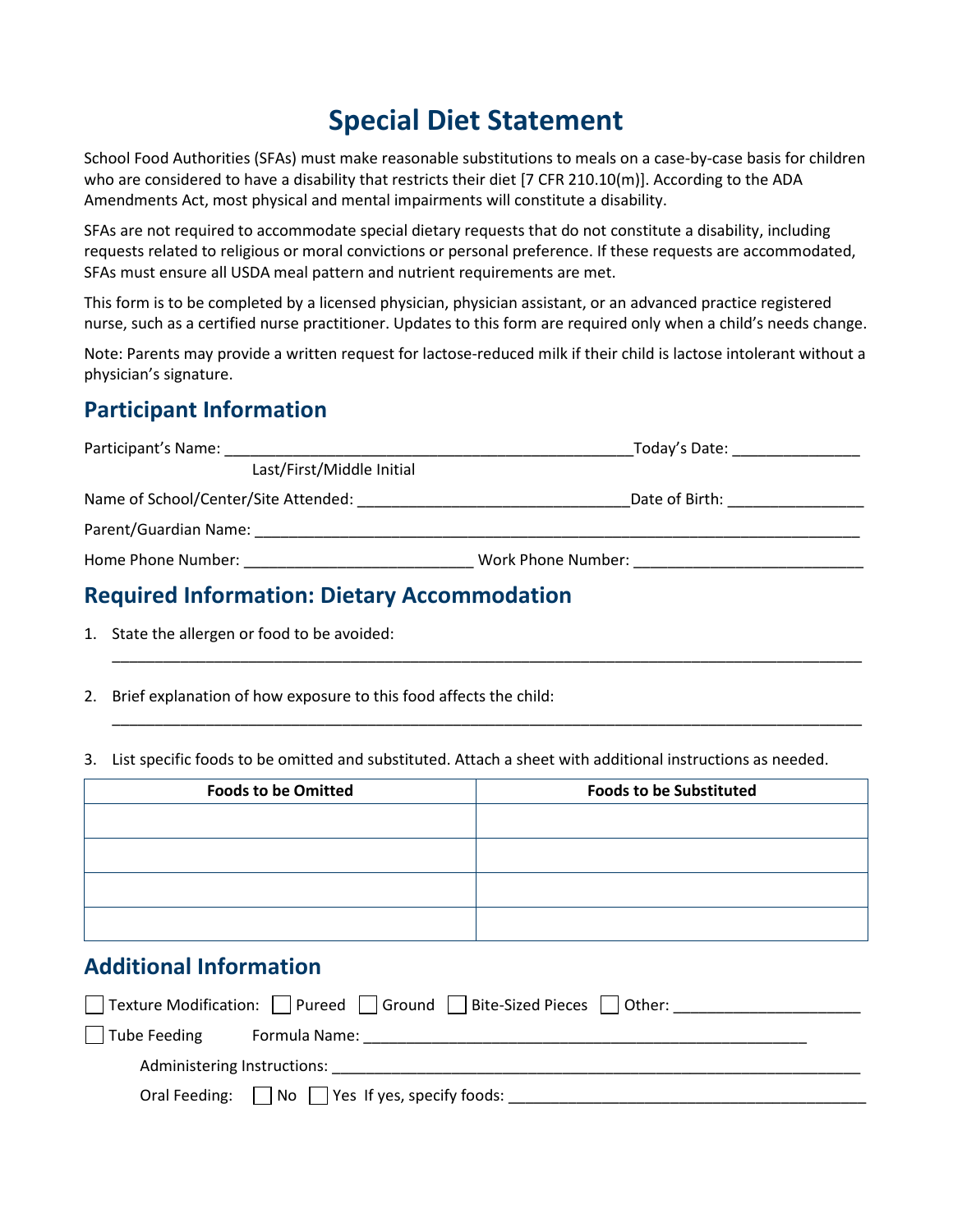# **Special Diet Statement**

School Food Authorities (SFAs) must make reasonable substitutions to meals on a case-by-case basis for children who are considered to have a disability that restricts their diet [7 CFR 210.10(m)]. According to the ADA Amendments Act, most physical and mental impairments will constitute a disability.

SFAs are not required to accommodate special dietary requests that do not constitute a disability, including requests related to religious or moral convictions or personal preference. If these requests are accommodated, SFAs must ensure all USDA meal pattern and nutrient requirements are met.

This form is to be completed by a licensed physician, physician assistant, or an advanced practice registered nurse, such as a certified nurse practitioner. Updates to this form are required only when a child's needs change.

Note: Parents may provide a written request for lactose-reduced milk if their child is lactose intolerant without a physician's signature.

#### **Participant Information**

| Participant's Name:                                                                                            | Today's Date: National Contract of Today's Date: |
|----------------------------------------------------------------------------------------------------------------|--------------------------------------------------|
| Last/First/Middle Initial                                                                                      |                                                  |
| Name of School/Center/Site Attended:                                                                           | Date of Birth: National Property of Birth:       |
|                                                                                                                |                                                  |
| Home Phone Number: North School School School School School School School School School School School School S | Work Phone Number: Work Phone Number:            |
|                                                                                                                |                                                  |

\_\_\_\_\_\_\_\_\_\_\_\_\_\_\_\_\_\_\_\_\_\_\_\_\_\_\_\_\_\_\_\_\_\_\_\_\_\_\_\_\_\_\_\_\_\_\_\_\_\_\_\_\_\_\_\_\_\_\_\_\_\_\_\_\_\_\_\_\_\_\_\_\_\_\_\_\_\_\_\_\_\_\_\_\_\_\_\_

\_\_\_\_\_\_\_\_\_\_\_\_\_\_\_\_\_\_\_\_\_\_\_\_\_\_\_\_\_\_\_\_\_\_\_\_\_\_\_\_\_\_\_\_\_\_\_\_\_\_\_\_\_\_\_\_\_\_\_\_\_\_\_\_\_\_\_\_\_\_\_\_\_\_\_\_\_\_\_\_\_\_\_\_\_\_\_\_

#### **Required Information: Dietary Accommodation**

1. State the allergen or food to be avoided:

2. Brief explanation of how exposure to this food affects the child:

3. List specific foods to be omitted and substituted. Attach a sheet with additional instructions as needed.

| <b>Foods to be Omitted</b> | <b>Foods to be Substituted</b> |
|----------------------------|--------------------------------|
|                            |                                |
|                            |                                |
|                            |                                |
|                            |                                |

#### **Additional Information**

|                             | Texture Modification:     Pureed     Ground  <br>  Bite-Sized Pieces     Other: |
|-----------------------------|---------------------------------------------------------------------------------|
| $\vert$ Tube Feeding        | Formula Name:                                                                   |
| Administering Instructions: |                                                                                 |
|                             | Oral Feeding: $\Box$ No $\Box$ Yes If yes, specify foods:                       |